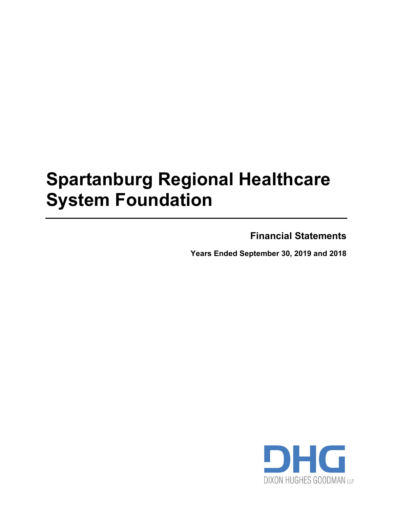# **Spartanburg Regional Healthcare System Foundation**

**Financial Statements**

**Years Ended September 30, 2019 and 2018**

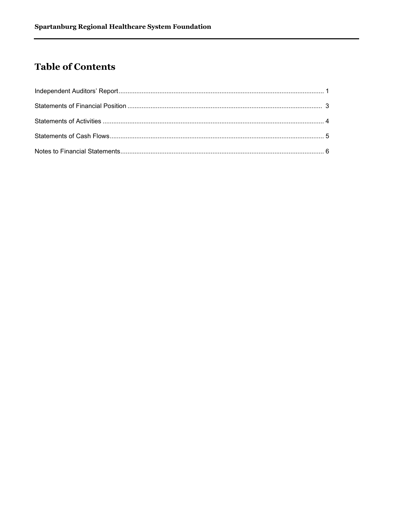## **Table of Contents**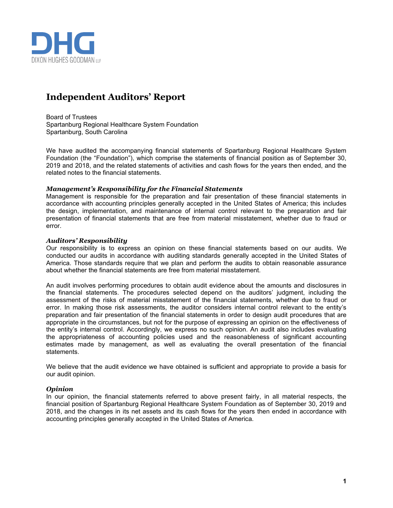

## **Independent Auditors' Report**

Board of Trustees Spartanburg Regional Healthcare System Foundation Spartanburg, South Carolina

We have audited the accompanying financial statements of Spartanburg Regional Healthcare System Foundation (the "Foundation"), which comprise the statements of financial position as of September 30, 2019 and 2018, and the related statements of activities and cash flows for the years then ended, and the related notes to the financial statements.

#### *Management's Responsibility for the Financial Statements*

Management is responsible for the preparation and fair presentation of these financial statements in accordance with accounting principles generally accepted in the United States of America; this includes the design, implementation, and maintenance of internal control relevant to the preparation and fair presentation of financial statements that are free from material misstatement, whether due to fraud or error.

#### *Auditors' Responsibility*

Our responsibility is to express an opinion on these financial statements based on our audits. We conducted our audits in accordance with auditing standards generally accepted in the United States of America. Those standards require that we plan and perform the audits to obtain reasonable assurance about whether the financial statements are free from material misstatement.

An audit involves performing procedures to obtain audit evidence about the amounts and disclosures in the financial statements. The procedures selected depend on the auditors' judgment, including the assessment of the risks of material misstatement of the financial statements, whether due to fraud or error. In making those risk assessments, the auditor considers internal control relevant to the entity's preparation and fair presentation of the financial statements in order to design audit procedures that are appropriate in the circumstances, but not for the purpose of expressing an opinion on the effectiveness of the entity's internal control. Accordingly, we express no such opinion. An audit also includes evaluating the appropriateness of accounting policies used and the reasonableness of significant accounting estimates made by management, as well as evaluating the overall presentation of the financial statements.

We believe that the audit evidence we have obtained is sufficient and appropriate to provide a basis for our audit opinion.

#### *Opinion*

In our opinion, the financial statements referred to above present fairly, in all material respects, the financial position of Spartanburg Regional Healthcare System Foundation as of September 30, 2019 and 2018, and the changes in its net assets and its cash flows for the years then ended in accordance with accounting principles generally accepted in the United States of America.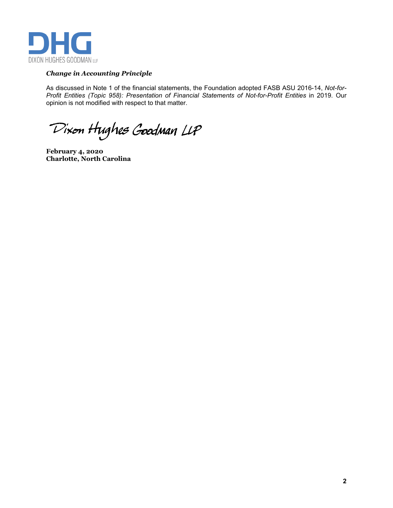

## *Change in Accounting Principle*

As discussed in Note 1 of the financial statements, the Foundation adopted FASB ASU 2016-14, *Not-for-Profit Entities (Topic 958): Presentation of Financial Statements of Not-for-Profit Entities* in 2019. Our opinion is not modified with respect to that matter.

Dixon Hughes Goodman LLP

**February 4, 2020 Charlotte, North Carolina**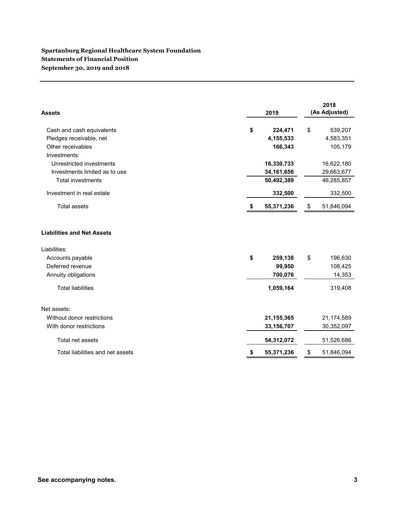## **September 30, 2019 and 2018 Statements of Financial Position Spartanburg Regional Healthcare System Foundation**

| <b>Assets</b>                     | 2019             | 2018<br>(As Adjusted) |
|-----------------------------------|------------------|-----------------------|
| Cash and cash equivalents         | \$<br>224,471    | \$<br>539,207         |
| Pledges receivable, net           | 4,155,533        | 4,583,351             |
| Other receivables                 | 166,343          | 105,179               |
| Investments:                      |                  |                       |
| Unrestricted investments          | 16,330,733       | 16,622,180            |
| Investments limited as to use     | 34, 161, 656     | 29,663,677            |
| <b>Total investments</b>          | 50,492,389       | 46,285,857            |
| Investment in real estate         | 332,500          | 332,500               |
| <b>Total assets</b>               | 55,371,236<br>\$ | \$<br>51,846,094      |
| <b>Liabilities and Net Assets</b> |                  |                       |
| Liabilities:                      |                  |                       |
| Accounts payable                  | \$<br>259,138    | \$<br>196,630         |
| Deferred revenue                  | 99,950           | 108,425               |
| Annuity obligations               | 700,076          | 14,353                |
| <b>Total liabilities</b>          | 1,059,164        | 319,408               |
| Net assets:                       |                  |                       |
| Without donor restrictions        | 21, 155, 365     | 21,174,589            |
| With donor restrictions           | 33,156,707       | 30,352,097            |
| Total net assets                  | 54,312,072       | 51,526,686            |
| Total liabilities and net assets  | \$<br>55,371,236 | \$<br>51,846,094      |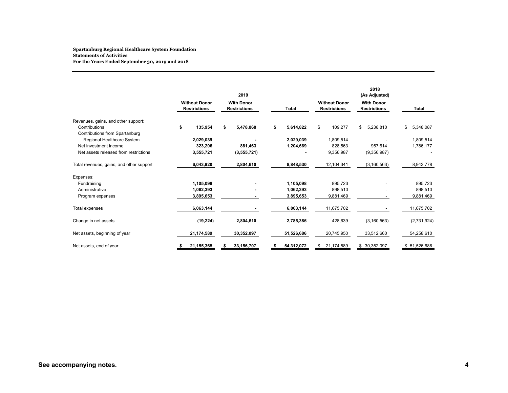#### **For the Years Ended September 30, 2019 and 2018 Statements of Activities Spartanburg Regional Healthcare System Foundation**

|                                          |                                             | 2019                                     |                 | 2018<br>(As Adjusted)                       |                                          |                 |
|------------------------------------------|---------------------------------------------|------------------------------------------|-----------------|---------------------------------------------|------------------------------------------|-----------------|
|                                          | <b>Without Donor</b><br><b>Restrictions</b> | <b>With Donor</b><br><b>Restrictions</b> | <b>Total</b>    | <b>Without Donor</b><br><b>Restrictions</b> | <b>With Donor</b><br><b>Restrictions</b> | Total           |
| Revenues, gains, and other support:      |                                             |                                          |                 |                                             |                                          |                 |
| Contributions                            | \$<br>135,954                               | \$<br>5,478,868                          | \$<br>5,614,822 | \$<br>109,277                               | \$<br>5,238,810                          | \$<br>5,348,087 |
| Contributions from Spartanburg           |                                             |                                          |                 |                                             |                                          |                 |
| Regional Healthcare System               | 2,029,039                                   |                                          | 2,029,039       | 1,809,514                                   |                                          | 1,809,514       |
| Net investment income                    | 323,206                                     | 881,463                                  | 1,204,669       | 828,563                                     | 957,614                                  | 1,786,177       |
| Net assets released from restrictions    | 3,555,721                                   | (3, 555, 721)                            |                 | 9,356,987                                   | (9,356,987)                              |                 |
| Total revenues, gains, and other support | 6,043,920                                   | 2,804,610                                | 8,848,530       | 12,104,341                                  | (3, 160, 563)                            | 8,943,778       |
| Expenses:                                |                                             |                                          |                 |                                             |                                          |                 |
| Fundraising                              | 1,105,098                                   |                                          | 1,105,098       | 895,723                                     |                                          | 895,723         |
| Administrative                           | 1,062,393                                   |                                          | 1,062,393       | 898,510                                     |                                          | 898,510         |
| Program expenses                         | 3,895,653                                   |                                          | 3,895,653       | 9,881,469                                   |                                          | 9,881,469       |
| Total expenses                           | 6,063,144                                   |                                          | 6,063,144       | 11,675,702                                  |                                          | 11,675,702      |
| Change in net assets                     | (19, 224)                                   | 2,804,610                                | 2,785,386       | 428,639                                     | (3, 160, 563)                            | (2,731,924)     |
| Net assets, beginning of year            | 21,174,589                                  | 30,352,097                               | 51,526,686      | 20,745,950                                  | 33,512,660                               | 54,258,610      |
| Net assets, end of year                  | 21, 155, 365                                | 33, 156, 707                             | 54,312,072      | 21,174,589<br>S                             | 30,352,097<br>\$                         | \$51,526,686    |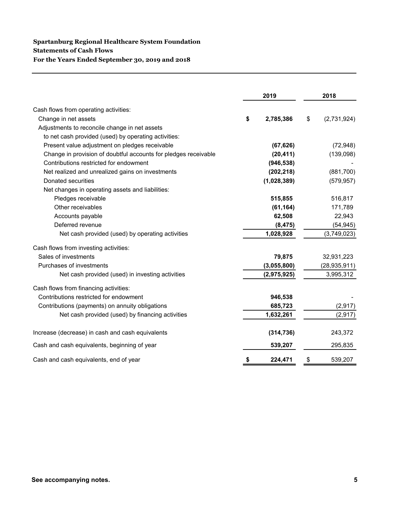## **Statements of Cash Flows Spartanburg Regional Healthcare System Foundation For the Years Ended September 30, 2019 and 2018**

|                                                                 | 2019            | 2018              |
|-----------------------------------------------------------------|-----------------|-------------------|
| Cash flows from operating activities:                           |                 |                   |
| Change in net assets                                            | \$<br>2,785,386 | \$<br>(2,731,924) |
| Adjustments to reconcile change in net assets                   |                 |                   |
| to net cash provided (used) by operating activities:            |                 |                   |
| Present value adjustment on pledges receivable                  | (67, 626)       | (72, 948)         |
| Change in provision of doubtful accounts for pledges receivable | (20, 411)       | (139,098)         |
| Contributions restricted for endowment                          | (946, 538)      |                   |
| Net realized and unrealized gains on investments                | (202, 218)      | (881,700)         |
| Donated securities                                              | (1,028,389)     | (579, 957)        |
| Net changes in operating assets and liabilities:                |                 |                   |
| Pledges receivable                                              | 515,855         | 516,817           |
| Other receivables                                               | (61, 164)       | 171,789           |
| Accounts payable                                                | 62,508          | 22,943            |
| Deferred revenue                                                | (8, 475)        | (54, 945)         |
| Net cash provided (used) by operating activities                | 1,028,928       | (3,749,023)       |
| Cash flows from investing activities:                           |                 |                   |
| Sales of investments                                            | 79,875          | 32,931,223        |
| Purchases of investments                                        | (3,055,800)     | (28, 935, 911)    |
| Net cash provided (used) in investing activities                | (2,975,925)     | 3,995,312         |
| Cash flows from financing activities:                           |                 |                   |
| Contributions restricted for endowment                          | 946,538         |                   |
| Contributions (payments) on annuity obligations                 | 685,723         | (2, 917)          |
| Net cash provided (used) by financing activities                | 1,632,261       | (2,917)           |
| Increase (decrease) in cash and cash equivalents                | (314, 736)      | 243,372           |
| Cash and cash equivalents, beginning of year                    | 539,207         | 295,835           |
| Cash and cash equivalents, end of year                          | 224,471         | \$<br>539,207     |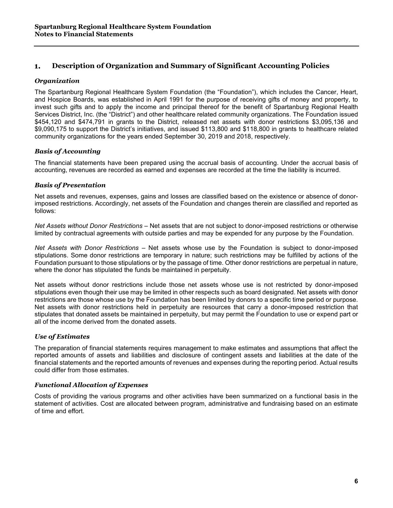#### **Description of Organization and Summary of Significant Accounting Policies** 1.

### *Organization*

The Spartanburg Regional Healthcare System Foundation (the "Foundation"), which includes the Cancer, Heart, and Hospice Boards, was established in April 1991 for the purpose of receiving gifts of money and property, to invest such gifts and to apply the income and principal thereof for the benefit of Spartanburg Regional Health Services District, Inc. (the "District") and other healthcare related community organizations. The Foundation issued \$454,120 and \$474,791 in grants to the District, released net assets with donor restrictions \$3,095,136 and \$9,090,175 to support the District's initiatives, and issued \$113,800 and \$118,800 in grants to healthcare related community organizations for the years ended September 30, 2019 and 2018, respectively.

## *Basis of Accounting*

The financial statements have been prepared using the accrual basis of accounting. Under the accrual basis of accounting, revenues are recorded as earned and expenses are recorded at the time the liability is incurred.

#### *Basis of Presentation*

Net assets and revenues, expenses, gains and losses are classified based on the existence or absence of donorimposed restrictions. Accordingly, net assets of the Foundation and changes therein are classified and reported as follows:

*Net Assets without Donor Restrictions* – Net assets that are not subject to donor-imposed restrictions or otherwise limited by contractual agreements with outside parties and may be expended for any purpose by the Foundation.

*Net Assets with Donor Restrictions* – Net assets whose use by the Foundation is subject to donor-imposed stipulations. Some donor restrictions are temporary in nature; such restrictions may be fulfilled by actions of the Foundation pursuant to those stipulations or by the passage of time. Other donor restrictions are perpetual in nature, where the donor has stipulated the funds be maintained in perpetuity.

Net assets without donor restrictions include those net assets whose use is not restricted by donor-imposed stipulations even though their use may be limited in other respects such as board designated. Net assets with donor restrictions are those whose use by the Foundation has been limited by donors to a specific time period or purpose. Net assets with donor restrictions held in perpetuity are resources that carry a donor-imposed restriction that stipulates that donated assets be maintained in perpetuity, but may permit the Foundation to use or expend part or all of the income derived from the donated assets.

## *Use of Estimates*

The preparation of financial statements requires management to make estimates and assumptions that affect the reported amounts of assets and liabilities and disclosure of contingent assets and liabilities at the date of the financial statements and the reported amounts of revenues and expenses during the reporting period. Actual results could differ from those estimates.

#### *Functional Allocation of Expenses*

Costs of providing the various programs and other activities have been summarized on a functional basis in the statement of activities. Cost are allocated between program, administrative and fundraising based on an estimate of time and effort.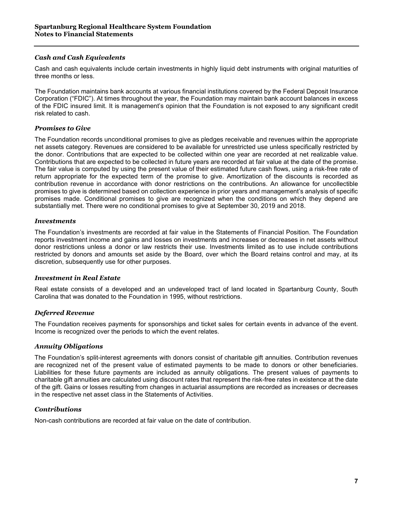### *Cash and Cash Equivalents*

Cash and cash equivalents include certain investments in highly liquid debt instruments with original maturities of three months or less.

The Foundation maintains bank accounts at various financial institutions covered by the Federal Deposit Insurance Corporation ("FDIC"). At times throughout the year, the Foundation may maintain bank account balances in excess of the FDIC insured limit. It is management's opinion that the Foundation is not exposed to any significant credit risk related to cash.

#### *Promises to Give*

The Foundation records unconditional promises to give as pledges receivable and revenues within the appropriate net assets category. Revenues are considered to be available for unrestricted use unless specifically restricted by the donor. Contributions that are expected to be collected within one year are recorded at net realizable value. Contributions that are expected to be collected in future years are recorded at fair value at the date of the promise. The fair value is computed by using the present value of their estimated future cash flows, using a risk-free rate of return appropriate for the expected term of the promise to give. Amortization of the discounts is recorded as contribution revenue in accordance with donor restrictions on the contributions. An allowance for uncollectible promises to give is determined based on collection experience in prior years and management's analysis of specific promises made. Conditional promises to give are recognized when the conditions on which they depend are substantially met. There were no conditional promises to give at September 30, 2019 and 2018.

## *Investments*

The Foundation's investments are recorded at fair value in the Statements of Financial Position. The Foundation reports investment income and gains and losses on investments and increases or decreases in net assets without donor restrictions unless a donor or law restricts their use. Investments limited as to use include contributions restricted by donors and amounts set aside by the Board, over which the Board retains control and may, at its discretion, subsequently use for other purposes.

#### *Investment in Real Estate*

Real estate consists of a developed and an undeveloped tract of land located in Spartanburg County, South Carolina that was donated to the Foundation in 1995, without restrictions.

## *Deferred Revenue*

The Foundation receives payments for sponsorships and ticket sales for certain events in advance of the event. Income is recognized over the periods to which the event relates.

#### *Annuity Obligations*

The Foundation's split-interest agreements with donors consist of charitable gift annuities. Contribution revenues are recognized net of the present value of estimated payments to be made to donors or other beneficiaries. Liabilities for these future payments are included as annuity obligations. The present values of payments to charitable gift annuities are calculated using discount rates that represent the risk-free rates in existence at the date of the gift. Gains or losses resulting from changes in actuarial assumptions are recorded as increases or decreases in the respective net asset class in the Statements of Activities.

## *Contributions*

Non-cash contributions are recorded at fair value on the date of contribution.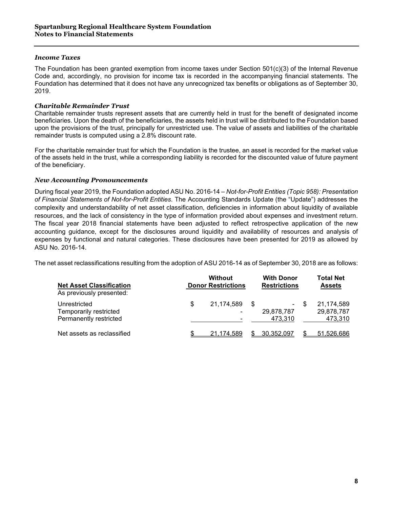#### *Income Taxes*

The Foundation has been granted exemption from income taxes under Section 501(c)(3) of the Internal Revenue Code and, accordingly, no provision for income tax is recorded in the accompanying financial statements. The Foundation has determined that it does not have any unrecognized tax benefits or obligations as of September 30, 2019.

#### *Charitable Remainder Trust*

Charitable remainder trusts represent assets that are currently held in trust for the benefit of designated income beneficiaries. Upon the death of the beneficiaries, the assets held in trust will be distributed to the Foundation based upon the provisions of the trust, principally for unrestricted use. The value of assets and liabilities of the charitable remainder trusts is computed using a 2.8% discount rate.

For the charitable remainder trust for which the Foundation is the trustee, an asset is recorded for the market value of the assets held in the trust, while a corresponding liability is recorded for the discounted value of future payment of the beneficiary.

#### *New Accounting Pronouncements*

During fiscal year 2019, the Foundation adopted ASU No. 2016-14 – *Not-for-Profit Entities (Topic 958): Presentation of Financial Statements of Not-for-Profit Entities*. The Accounting Standards Update (the "Update") addresses the complexity and understandability of net asset classification, deficiencies in information about liquidity of available resources, and the lack of consistency in the type of information provided about expenses and investment return. The fiscal year 2018 financial statements have been adjusted to reflect retrospective application of the new accounting guidance, except for the disclosures around liquidity and availability of resources and analysis of expenses by functional and natural categories. These disclosures have been presented for 2019 as allowed by ASU No. 2016-14.

The net asset reclassifications resulting from the adoption of ASU 2016-14 as of September 30, 2018 are as follows:

| <b>Net Asset Classification</b><br>As previously presented:      |   | <b>Without</b><br><b>Donor Restrictions</b> |   | <b>With Donor</b><br><b>Restrictions</b> | <b>Total Net</b><br><b>Assets</b> |                                     |
|------------------------------------------------------------------|---|---------------------------------------------|---|------------------------------------------|-----------------------------------|-------------------------------------|
| Unrestricted<br>Temporarily restricted<br>Permanently restricted | S | 21,174,589                                  | S | $\sim$<br>29.878.787<br>473.310          | -86                               | 21,174,589<br>29,878,787<br>473,310 |
| Net assets as reclassified                                       |   | 21.174.589                                  |   | 30,352,097                               |                                   | 51.526.686                          |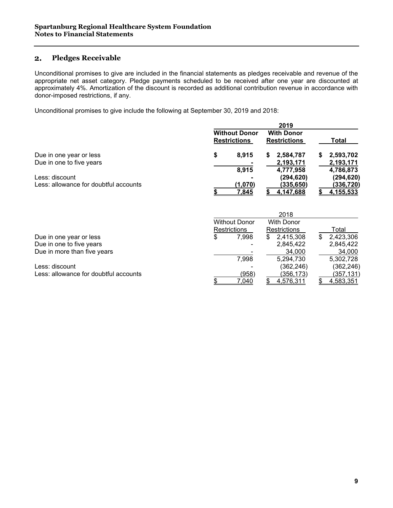#### **Pledges Receivable**  $2.$

Unconditional promises to give are included in the financial statements as pledges receivable and revenue of the appropriate net asset category. Pledge payments scheduled to be received after one year are discounted at approximately 4%. Amortization of the discount is recorded as additional contribution revenue in accordance with donor-imposed restrictions, if any.

Unconditional promises to give include the following at September 30, 2019 and 2018:

|                                                         | 2019                                        |                                             |                                           |  |  |  |  |
|---------------------------------------------------------|---------------------------------------------|---------------------------------------------|-------------------------------------------|--|--|--|--|
|                                                         | <b>Without Donor</b><br><b>Restrictions</b> | <b>With Donor</b><br><b>Restrictions</b>    | Total                                     |  |  |  |  |
| Due in one year or less<br>Due in one to five years     | \$<br>8,915<br>8,915                        | 2,584,787<br>S.<br>2,193,171<br>4,777,958   | 2,593,702<br>S.<br>2,193,171<br>4,786,873 |  |  |  |  |
| Less: discount<br>Less: allowance for doubtful accounts | (1,070)<br>7.845                            | (294, 620)<br>(335,650)<br><u>4.147.688</u> | (294,620)<br>(336,720)<br>4.155.533       |  |  |  |  |
|                                                         |                                             | 2018                                        |                                           |  |  |  |  |
|                                                         | <b>Without Donor</b>                        | <b>With Donor</b><br><b>Restrictions</b>    |                                           |  |  |  |  |
| Dug in ano voor or loop                                 | Restrictions<br>7.009                       | 2.115.209<br>¢                              | Total<br>2.122.206                        |  |  |  |  |

| Due in one year or less               | 7.998 | 2,415,308  | 2,423,306  |
|---------------------------------------|-------|------------|------------|
| Due in one to five years              |       | 2.845.422  | 2.845.422  |
| Due in more than five years           |       | 34,000     | 34.000     |
|                                       | 7.998 | 5.294.730  | 5.302.728  |
| Less: discount                        |       | (362.246)  | (362, 246) |
| Less: allowance for doubtful accounts | (958) | (356, 173) | (357, 131) |
|                                       | 7.040 | 4.576.311  | 4,583,351  |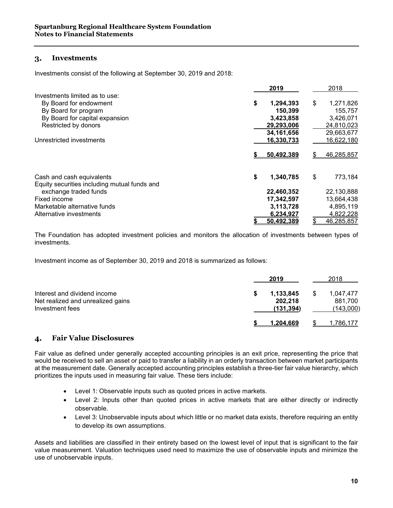#### **Investments** 3.

Investments consist of the following at September 30, 2019 and 2018:

|                                              | 2019            |    | 2018       |
|----------------------------------------------|-----------------|----|------------|
| Investments limited as to use:               |                 |    |            |
| By Board for endowment                       | \$<br>1,294,393 | \$ | 1,271,826  |
| By Board for program                         | 150,399         |    | 155,757    |
| By Board for capital expansion               | 3,423,858       |    | 3,426,071  |
| Restricted by donors                         | 29,293,006      |    | 24,810,023 |
|                                              | 34, 161, 656    |    | 29,663,677 |
| Unrestricted investments                     | 16,330,733      |    | 16,622,180 |
|                                              | 50,492,389      | S  | 46,285,857 |
| Cash and cash equivalents                    | \$<br>1,340,785 | \$ | 773,184    |
| Equity securities including mutual funds and |                 |    |            |
| exchange traded funds                        | 22,460,352      |    | 22,130,888 |
| Fixed income                                 | 17,342,597      |    | 13,664,438 |
| Marketable alternative funds                 | 3,113,728       |    | 4,895,119  |
| Alternative investments                      | 6,234,927       |    | 4,822,228  |
|                                              | 50,492,389      |    | 46,285,857 |

The Foundation has adopted investment policies and monitors the allocation of investments between types of investments.

Investment income as of September 30, 2019 and 2018 is summarized as follows:

|                                                                                      | 2019                               | 2018                                    |
|--------------------------------------------------------------------------------------|------------------------------------|-----------------------------------------|
| Interest and dividend income<br>Net realized and unrealized gains<br>Investment fees | 1,133,845<br>202,218<br>(131, 394) | \$<br>1,047,477<br>881,700<br>(143,000) |
|                                                                                      | 1.204.669                          | <u>1,786,177</u>                        |

#### **Fair Value Disclosures**  $\boldsymbol{4}$

Fair value as defined under generally accepted accounting principles is an exit price, representing the price that would be received to sell an asset or paid to transfer a liability in an orderly transaction between market participants at the measurement date. Generally accepted accounting principles establish a three-tier fair value hierarchy, which prioritizes the inputs used in measuring fair value. These tiers include:

- Level 1: Observable inputs such as quoted prices in active markets.
- Level 2: Inputs other than quoted prices in active markets that are either directly or indirectly observable.
- Level 3: Unobservable inputs about which little or no market data exists, therefore requiring an entity to develop its own assumptions.

Assets and liabilities are classified in their entirety based on the lowest level of input that is significant to the fair value measurement. Valuation techniques used need to maximize the use of observable inputs and minimize the use of unobservable inputs.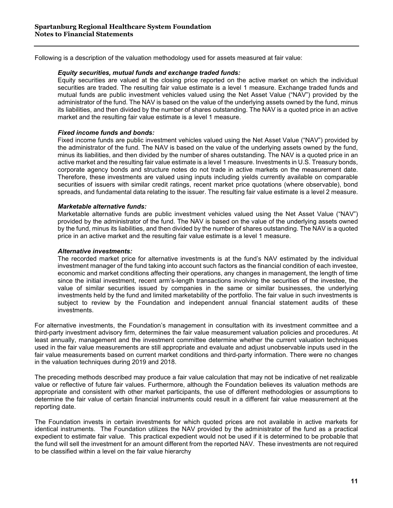Following is a description of the valuation methodology used for assets measured at fair value:

#### *Equity securities, mutual funds and exchange traded funds:*

Equity securities are valued at the closing price reported on the active market on which the individual securities are traded. The resulting fair value estimate is a level 1 measure. Exchange traded funds and mutual funds are public investment vehicles valued using the Net Asset Value ("NAV") provided by the administrator of the fund. The NAV is based on the value of the underlying assets owned by the fund, minus its liabilities, and then divided by the number of shares outstanding. The NAV is a quoted price in an active market and the resulting fair value estimate is a level 1 measure.

#### *Fixed income funds and bonds:*

Fixed income funds are public investment vehicles valued using the Net Asset Value ("NAV") provided by the administrator of the fund. The NAV is based on the value of the underlying assets owned by the fund, minus its liabilities, and then divided by the number of shares outstanding. The NAV is a quoted price in an active market and the resulting fair value estimate is a level 1 measure. Investments in U.S. Treasury bonds, corporate agency bonds and structure notes do not trade in active markets on the measurement date. Therefore, these investments are valued using inputs including yields currently available on comparable securities of issuers with similar credit ratings, recent market price quotations (where observable), bond spreads, and fundamental data relating to the issuer. The resulting fair value estimate is a level 2 measure.

#### *Marketable alternative funds:*

Marketable alternative funds are public investment vehicles valued using the Net Asset Value ("NAV") provided by the administrator of the fund. The NAV is based on the value of the underlying assets owned by the fund, minus its liabilities, and then divided by the number of shares outstanding. The NAV is a quoted price in an active market and the resulting fair value estimate is a level 1 measure.

#### *Alternative investments:*

The recorded market price for alternative investments is at the fund's NAV estimated by the individual investment manager of the fund taking into account such factors as the financial condition of each investee, economic and market conditions affecting their operations, any changes in management, the length of time since the initial investment, recent arm's-length transactions involving the securities of the investee, the value of similar securities issued by companies in the same or similar businesses, the underlying investments held by the fund and limited marketability of the portfolio. The fair value in such investments is subject to review by the Foundation and independent annual financial statement audits of these investments.

For alternative investments, the Foundation's management in consultation with its investment committee and a third-party investment advisory firm, determines the fair value measurement valuation policies and procedures. At least annually, management and the investment committee determine whether the current valuation techniques used in the fair value measurements are still appropriate and evaluate and adjust unobservable inputs used in the fair value measurements based on current market conditions and third-party information. There were no changes in the valuation techniques during 2019 and 2018.

The preceding methods described may produce a fair value calculation that may not be indicative of net realizable value or reflective of future fair values. Furthermore, although the Foundation believes its valuation methods are appropriate and consistent with other market participants, the use of different methodologies or assumptions to determine the fair value of certain financial instruments could result in a different fair value measurement at the reporting date.

The Foundation invests in certain investments for which quoted prices are not available in active markets for identical instruments. The Foundation utilizes the NAV provided by the administrator of the fund as a practical expedient to estimate fair value. This practical expedient would not be used if it is determined to be probable that the fund will sell the investment for an amount different from the reported NAV. These investments are not required to be classified within a level on the fair value hierarchy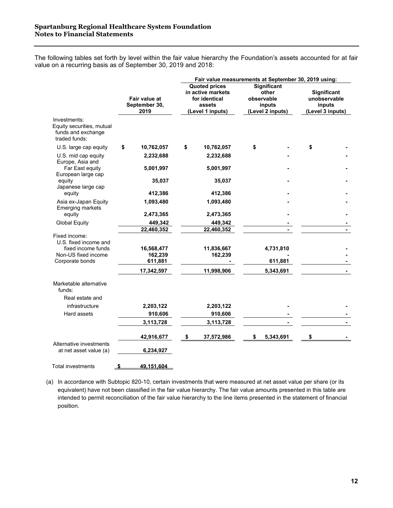The following tables set forth by level within the fair value hierarchy the Foundation's assets accounted for at fair value on a recurring basis as of September 30, 2019 and 2018:

|                                                                                     |                                        |                                     | Fair value measurements at September 30, 2019 using: |                                                                                          |    |                                                                         |                                                                  |  |
|-------------------------------------------------------------------------------------|----------------------------------------|-------------------------------------|------------------------------------------------------|------------------------------------------------------------------------------------------|----|-------------------------------------------------------------------------|------------------------------------------------------------------|--|
|                                                                                     | Fair value at<br>September 30,<br>2019 |                                     |                                                      | <b>Quoted prices</b><br>in active markets<br>for identical<br>assets<br>(Level 1 inputs) |    | <b>Significant</b><br>other<br>observable<br>inputs<br>(Level 2 inputs) | <b>Significant</b><br>unobservable<br>inputs<br>(Level 3 inputs) |  |
| Investments:<br>Equity securities, mutual<br>funds and exchange<br>traded funds:    |                                        |                                     |                                                      |                                                                                          |    |                                                                         |                                                                  |  |
| U.S. large cap equity                                                               | \$                                     | 10,762,057                          | \$                                                   | 10,762,057                                                                               | \$ |                                                                         | \$                                                               |  |
| U.S. mid cap equity<br>Europe, Asia and                                             |                                        | 2,232,688                           |                                                      | 2,232,688                                                                                |    |                                                                         |                                                                  |  |
| Far East equity<br>European large cap                                               |                                        | 5,001,997                           |                                                      | 5,001,997                                                                                |    |                                                                         |                                                                  |  |
| equity<br>Japanese large cap                                                        |                                        | 35,037                              |                                                      | 35,037                                                                                   |    |                                                                         |                                                                  |  |
| equity                                                                              |                                        | 412,386                             |                                                      | 412,386                                                                                  |    |                                                                         |                                                                  |  |
| Asia ex-Japan Equity<br><b>Emerging markets</b>                                     |                                        | 1,093,480                           |                                                      | 1,093,480                                                                                |    |                                                                         |                                                                  |  |
| equity                                                                              |                                        | 2,473,365                           |                                                      | 2,473,365                                                                                |    |                                                                         |                                                                  |  |
| <b>Global Equity</b>                                                                |                                        | 449,342                             |                                                      | 449,342                                                                                  |    |                                                                         |                                                                  |  |
| Fixed income:<br>U.S. fixed income and<br>fixed income funds<br>Non-US fixed income |                                        | 22,460,352<br>16,568,477<br>162,239 |                                                      | 22,460,352<br>11,836,667<br>162,239                                                      |    | 4,731,810                                                               |                                                                  |  |
| Corporate bonds                                                                     |                                        | 611,881                             |                                                      |                                                                                          |    | 611,881                                                                 |                                                                  |  |
|                                                                                     |                                        | 17,342,597                          |                                                      | 11,998,906                                                                               |    | 5,343,691                                                               |                                                                  |  |
| Marketable alternative<br>funds:<br>Real estate and                                 |                                        |                                     |                                                      |                                                                                          |    |                                                                         |                                                                  |  |
| infrastructure                                                                      |                                        | 2,203,122                           |                                                      | 2,203,122                                                                                |    |                                                                         |                                                                  |  |
| Hard assets                                                                         |                                        | 910,606                             |                                                      | 910,606                                                                                  |    |                                                                         |                                                                  |  |
|                                                                                     |                                        | 3,113,728                           |                                                      | 3,113,728                                                                                |    |                                                                         |                                                                  |  |
|                                                                                     |                                        | 42,916,677                          | \$                                                   | 37,572,986                                                                               | \$ | 5,343,691                                                               | \$                                                               |  |
| Alternative investments<br>at net asset value (a)                                   |                                        | 6,234,927                           |                                                      |                                                                                          |    |                                                                         |                                                                  |  |
| <b>Total investments</b>                                                            |                                        | 49,151,604                          |                                                      |                                                                                          |    |                                                                         |                                                                  |  |

(a) In accordance with Subtopic 820-10, certain investments that were measured at net asset value per share (or its equivalent) have not been classified in the fair value hierarchy. The fair value amounts presented in this table are intended to permit reconciliation of the fair value hierarchy to the line items presented in the statement of financial position.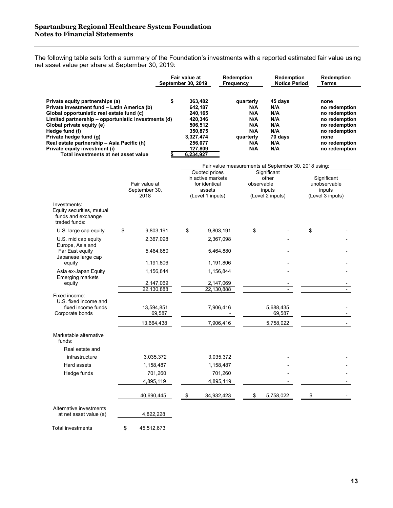The following table sets forth a summary of the Foundation's investments with a reported estimated fair value using net asset value per share at September 30, 2019:

|                                                                                                                                                                                                                                                                                                                                                                                          |                                |                        | Fair value at<br>September 30, 2019                                                  |                                                                         | Redemption<br>Redemption<br><b>Notice Period</b><br>Frequency                                        |                     | Redemption<br>Terms                                                                                                                 |                                       |
|------------------------------------------------------------------------------------------------------------------------------------------------------------------------------------------------------------------------------------------------------------------------------------------------------------------------------------------------------------------------------------------|--------------------------------|------------------------|--------------------------------------------------------------------------------------|-------------------------------------------------------------------------|------------------------------------------------------------------------------------------------------|---------------------|-------------------------------------------------------------------------------------------------------------------------------------|---------------------------------------|
| \$<br>Private equity partnerships (a)<br>Private investment fund - Latin America (b)<br>Global opportunistic real estate fund (c)<br>Limited partnership - opportunistic investments (d)<br>Global private equity (e)<br>Hedge fund (f)<br>Private hedge fund (g)<br>Real estate partnership - Asia Pacific (h)<br>Private equity investment (i)<br>Total investments at net asset value |                                | 3,327,474<br>6.234.927 | 363,482<br>642,187<br>240,165<br>420,346<br>506,512<br>350,875<br>256,077<br>127,809 | quarterly<br>N/A<br>N/A<br>N/A<br>N/A<br>N/A<br>quarterly<br>N/A<br>N/A | 45 days<br>N/A<br>N/A<br>N/A<br>N/A<br>N/A<br>70 days<br>N/A<br>N/A                                  |                     | none<br>no redemption<br>no redemption<br>no redemption<br>no redemption<br>no redemption<br>none<br>no redemption<br>no redemption |                                       |
|                                                                                                                                                                                                                                                                                                                                                                                          | Fair value at<br>September 30, |                        |                                                                                      | Quoted prices<br>in active markets<br>for identical<br>assets           | Fair value measurements at September 30, 2018 using:<br>Significant<br>other<br>observable<br>inputs |                     |                                                                                                                                     | Significant<br>unobservable<br>inputs |
| Investments:<br>Equity securities, mutual<br>funds and exchange<br>traded funds:                                                                                                                                                                                                                                                                                                         |                                | 2018                   |                                                                                      | (Level 1 inputs)                                                        |                                                                                                      | (Level 2 inputs)    |                                                                                                                                     | (Level 3 inputs)                      |
| U.S. large cap equity                                                                                                                                                                                                                                                                                                                                                                    | \$                             | 9,803,191              | \$                                                                                   | 9,803,191                                                               | \$                                                                                                   |                     | \$                                                                                                                                  |                                       |
| U.S. mid cap equity<br>Europe, Asia and<br>Far East equity                                                                                                                                                                                                                                                                                                                               |                                | 2,367,098<br>5,464,880 |                                                                                      | 2,367,098<br>5,464,880                                                  |                                                                                                      |                     |                                                                                                                                     |                                       |
| Japanese large cap<br>equity                                                                                                                                                                                                                                                                                                                                                             |                                | 1,191,806              |                                                                                      | 1,191,806                                                               |                                                                                                      |                     |                                                                                                                                     |                                       |
| Asia ex-Japan Equity<br><b>Emerging markets</b><br>equity                                                                                                                                                                                                                                                                                                                                |                                | 1,156,844<br>2,147,069 |                                                                                      | 1,156,844<br>2,147,069                                                  |                                                                                                      |                     |                                                                                                                                     |                                       |
|                                                                                                                                                                                                                                                                                                                                                                                          |                                | 22,130,888             |                                                                                      | 22,130,888                                                              |                                                                                                      |                     |                                                                                                                                     |                                       |
| Fixed income:<br>U.S. fixed income and<br>fixed income funds<br>Corporate bonds                                                                                                                                                                                                                                                                                                          |                                | 13,594,851<br>69,587   |                                                                                      | 7,906,416                                                               |                                                                                                      | 5,688,435<br>69,587 |                                                                                                                                     |                                       |
|                                                                                                                                                                                                                                                                                                                                                                                          |                                | 13,664,438             |                                                                                      | 7,906,416                                                               |                                                                                                      | 5,758,022           |                                                                                                                                     |                                       |
| Marketable alternative<br>funds:<br>Real estate and                                                                                                                                                                                                                                                                                                                                      |                                |                        |                                                                                      |                                                                         |                                                                                                      |                     |                                                                                                                                     |                                       |
| infrastructure                                                                                                                                                                                                                                                                                                                                                                           |                                | 3,035,372              |                                                                                      | 3,035,372                                                               |                                                                                                      |                     |                                                                                                                                     |                                       |
| Hard assets                                                                                                                                                                                                                                                                                                                                                                              |                                | 1,158,487              |                                                                                      | 1,158,487                                                               |                                                                                                      |                     |                                                                                                                                     |                                       |
| Hedge funds                                                                                                                                                                                                                                                                                                                                                                              |                                | 701,260                |                                                                                      | 701,260                                                                 |                                                                                                      |                     |                                                                                                                                     |                                       |
|                                                                                                                                                                                                                                                                                                                                                                                          |                                | 4,895,119              |                                                                                      | 4,895,119                                                               |                                                                                                      |                     |                                                                                                                                     |                                       |
|                                                                                                                                                                                                                                                                                                                                                                                          |                                | 40,690,445             | \$                                                                                   | 34,932,423                                                              | \$                                                                                                   | 5,758,022           | \$                                                                                                                                  |                                       |
| Alternative investments<br>at net asset value (a)                                                                                                                                                                                                                                                                                                                                        |                                | 4,822,228              |                                                                                      |                                                                         |                                                                                                      |                     |                                                                                                                                     |                                       |
| Total investments                                                                                                                                                                                                                                                                                                                                                                        | \$                             | 45,512,673             |                                                                                      |                                                                         |                                                                                                      |                     |                                                                                                                                     |                                       |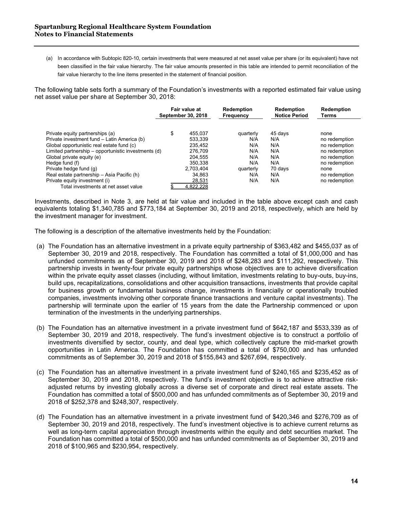(a) In accordance with Subtopic 820-10, certain investments that were measured at net asset value per share (or its equivalent) have not been classified in the fair value hierarchy. The fair value amounts presented in this table are intended to permit reconciliation of the fair value hierarchy to the line items presented in the statement of financial position.

The following table sets forth a summary of the Foundation's investments with a reported estimated fair value using net asset value per share at September 30, 2018:

|                                                                       | Fair value at             |                     | Redemption | <b>Redemption</b>    | <b>Redemption</b> |
|-----------------------------------------------------------------------|---------------------------|---------------------|------------|----------------------|-------------------|
|                                                                       | <b>September 30, 2018</b> |                     | Frequency  | <b>Notice Period</b> | Terms             |
| Private equity partnerships (a)                                       | \$                        | 455.037             | quarterly  | 45 days              | none              |
| Private investment fund - Latin America (b)                           |                           | 533.339             | N/A        | N/A                  | no redemption     |
| Global opportunistic real estate fund (c)                             |                           | 235.452             | N/A        | N/A                  | no redemption     |
| Limited partnership – opportunistic investments $(d)$                 |                           | 276,709             | N/A        | N/A                  | no redemption     |
| Global private equity (e)                                             |                           | 204.555             | N/A        | N/A                  | no redemption     |
| Hedge fund (f)                                                        |                           | 350.338             | N/A        | N/A                  | no redemption     |
| Private hedge fund (g)                                                |                           | 2,703,404           | quarterly  | 70 days              | none              |
| Real estate partnership - Asia Pacific (h)                            |                           | 34,863              | N/A        | N/A                  | no redemption     |
| Private equity investment (i)<br>Total investments at net asset value |                           | 28,531<br>4.822.228 | N/A        | N/A                  | no redemption     |

Investments, described in Note 3, are held at fair value and included in the table above except cash and cash equivalents totaling \$1,340,785 and \$773,184 at September 30, 2019 and 2018, respectively, which are held by the investment manager for investment.

The following is a description of the alternative investments held by the Foundation:

- (a) The Foundation has an alternative investment in a private equity partnership of \$363,482 and \$455,037 as of September 30, 2019 and 2018, respectively. The Foundation has committed a total of \$1,000,000 and has unfunded commitments as of September 30, 2019 and 2018 of \$248,283 and \$111,292, respectively. This partnership invests in twenty-four private equity partnerships whose objectives are to achieve diversification within the private equity asset classes (including, without limitation, investments relating to buy-outs, buy-ins, build ups, recapitalizations, consolidations and other acquisition transactions, investments that provide capital for business growth or fundamental business change, investments in financially or operationally troubled companies, investments involving other corporate finance transactions and venture capital investments). The partnership will terminate upon the earlier of 15 years from the date the Partnership commenced or upon termination of the investments in the underlying partnerships.
- (b) The Foundation has an alternative investment in a private investment fund of \$642,187 and \$533,339 as of September 30, 2019 and 2018, respectively. The fund's investment objective is to construct a portfolio of investments diversified by sector, county, and deal type, which collectively capture the mid-market growth opportunities in Latin America. The Foundation has committed a total of \$750,000 and has unfunded commitments as of September 30, 2019 and 2018 of \$155,843 and \$267,694, respectively.
- (c) The Foundation has an alternative investment in a private investment fund of \$240,165 and \$235,452 as of September 30, 2019 and 2018, respectively. The fund's investment objective is to achieve attractive riskadjusted returns by investing globally across a diverse set of corporate and direct real estate assets. The Foundation has committed a total of \$500,000 and has unfunded commitments as of September 30, 2019 and 2018 of \$252,378 and \$248,307, respectively.
- (d) The Foundation has an alternative investment in a private investment fund of \$420,346 and \$276,709 as of September 30, 2019 and 2018, respectively. The fund's investment objective is to achieve current returns as well as long-term capital appreciation through investments within the equity and debt securities market. The Foundation has committed a total of \$500,000 and has unfunded commitments as of September 30, 2019 and 2018 of \$100,965 and \$230,954, respectively.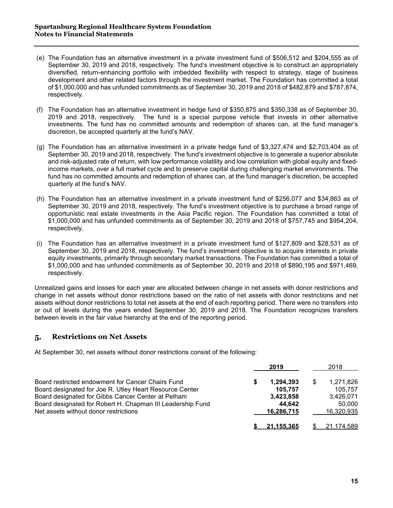- (e) The Foundation has an alternative investment in a private investment fund of \$506,512 and \$204,555 as of September 30, 2019 and 2018, respectively. The fund's investment objective is to construct an appropriately diversified, return-enhancing portfolio with imbedded flexibility with respect to strategy, stage of business development and other related factors through the investment market. The Foundation has committed a total of \$1,000,000 and has unfunded commitments as of September 30, 2019 and 2018 of \$482,879 and \$787,874, respectively.
- (f) The Foundation has an alternative investment in hedge fund of \$350,875 and \$350,338 as of September 30, 2019 and 2018, respectively. The fund is a special purpose vehicle that invests in other alternative investments. The fund has no committed amounts and redemption of shares can, at the fund manager's discretion, be accepted quarterly at the fund's NAV.
- (g) The Foundation has an alternative investment in a private hedge fund of \$3,327,474 and \$2,703,404 as of September 30, 2019 and 2018, respectively. The fund's investment objective is to generate a superior absolute and risk-adjusted rate of return, with low performance volatility and low correlation with global equity and fixedincome markets, over a full market cycle and to preserve capital during challenging market environments. The fund has no committed amounts and redemption of shares can, at the fund manager's discretion, be accepted quarterly at the fund's NAV.
- (h) The Foundation has an alternative investment in a private investment fund of \$256,077 and \$34,863 as of September 30, 2019 and 2018, respectively. The fund's investment objective is to purchase a broad range of opportunistic real estate investments in the Asia Pacific region. The Foundation has committed a total of \$1,000,000 and has unfunded commitments as of September 30, 2019 and 2018 of \$757,745 and \$954,204, respectively.
- (i) The Foundation has an alternative investment in a private investment fund of \$127,809 and \$28,531 as of September 30, 2019 and 2018, respectively. The fund's investment objective is to acquire interests in private equity investments, primarily through secondary market transactions. The Foundation has committed a total of \$1,000,000 and has unfunded commitments as of September 30, 2019 and 2018 of \$890,195 and \$971,469, respectively.

Unrealized gains and losses for each year are allocated between change in net assets with donor restrictions and change in net assets without donor restrictions based on the ratio of net assets with donor restrictions and net assets without donor restrictions to total net assets at the end of each reporting period. There were no transfers into or out of levels during the years ended September 30, 2019 and 2018. The Foundation recognizes transfers between levels in the fair value hierarchy at the end of the reporting period.

#### **Restrictions on Net Assets** 5.

At September 30, net assets without donor restrictions consist of the following:

|                                                            |  | 2019       | 2018 |            |
|------------------------------------------------------------|--|------------|------|------------|
| Board restricted endowment for Cancer Chairs Fund          |  | 1.294.393  |      | 1,271,826  |
| Board designated for Joe R. Utley Heart Resource Center    |  | 105,757    |      | 105,757    |
| Board designated for Gibbs Cancer Center at Pelham         |  | 3,423,858  |      | 3.426.071  |
| Board designated for Robert H. Chapman III Leadership Fund |  | 44.642     |      | 50,000     |
| Net assets without donor restrictions                      |  | 16.286.715 |      | 16,320,935 |
|                                                            |  | 21.155.365 |      | 21,174,589 |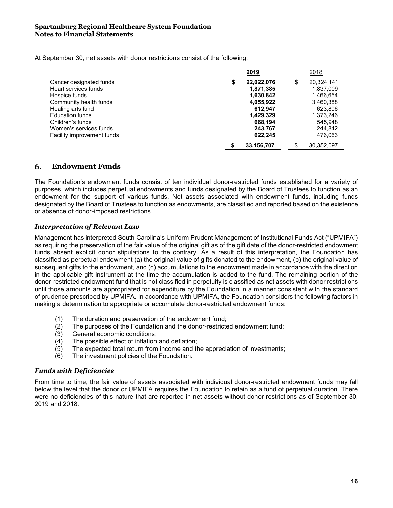At September 30, net assets with donor restrictions consist of the following:

|                            | 2019             |   | 2018       |
|----------------------------|------------------|---|------------|
| Cancer designated funds    | \$<br>22,022,076 | S | 20,324,141 |
| Heart services funds       | 1,871,385        |   | 1,837,009  |
| Hospice funds              | 1,630,842        |   | 1,466,654  |
| Community health funds     | 4,055,922        |   | 3,460,388  |
| Healing arts fund          | 612.947          |   | 623,806    |
| <b>Education funds</b>     | 1,429,329        |   | 1,373,246  |
| Children's funds           | 668,194          |   | 545.948    |
| Women's services funds     | 243,767          |   | 244.842    |
| Facility improvement funds | 622,245          |   | 476,063    |
|                            | 33,156,707       |   | 30,352,097 |

#### **Endowment Funds** 6.

The Foundation's endowment funds consist of ten individual donor-restricted funds established for a variety of purposes, which includes perpetual endowments and funds designated by the Board of Trustees to function as an endowment for the support of various funds. Net assets associated with endowment funds, including funds designated by the Board of Trustees to function as endowments, are classified and reported based on the existence or absence of donor-imposed restrictions.

#### *Interpretation of Relevant Law*

Management has interpreted South Carolina's Uniform Prudent Management of Institutional Funds Act ("UPMIFA") as requiring the preservation of the fair value of the original gift as of the gift date of the donor-restricted endowment funds absent explicit donor stipulations to the contrary. As a result of this interpretation, the Foundation has classified as perpetual endowment (a) the original value of gifts donated to the endowment, (b) the original value of subsequent gifts to the endowment, and (c) accumulations to the endowment made in accordance with the direction in the applicable gift instrument at the time the accumulation is added to the fund. The remaining portion of the donor-restricted endowment fund that is not classified in perpetuity is classified as net assets with donor restrictions until those amounts are appropriated for expenditure by the Foundation in a manner consistent with the standard of prudence prescribed by UPMIFA. In accordance with UPMIFA, the Foundation considers the following factors in making a determination to appropriate or accumulate donor-restricted endowment funds:

- (1) The duration and preservation of the endowment fund;<br>(2) The purposes of the Foundation and the donor-restricte
- The purposes of the Foundation and the donor-restricted endowment fund;
- (3) General economic conditions;
- (4) The possible effect of inflation and deflation;
- The expected total return from income and the appreciation of investments;
- (6) The investment policies of the Foundation.

### *Funds with Deficiencies*

From time to time, the fair value of assets associated with individual donor-restricted endowment funds may fall below the level that the donor or UPMIFA requires the Foundation to retain as a fund of perpetual duration. There were no deficiencies of this nature that are reported in net assets without donor restrictions as of September 30, 2019 and 2018.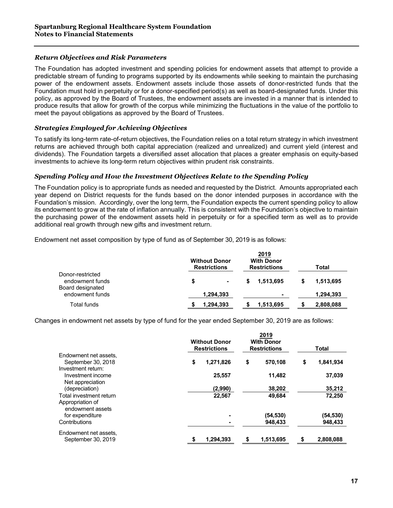#### *Return Objectives and Risk Parameters*

The Foundation has adopted investment and spending policies for endowment assets that attempt to provide a predictable stream of funding to programs supported by its endowments while seeking to maintain the purchasing power of the endowment assets. Endowment assets include those assets of donor-restricted funds that the Foundation must hold in perpetuity or for a donor-specified period(s) as well as board-designated funds. Under this policy, as approved by the Board of Trustees, the endowment assets are invested in a manner that is intended to produce results that allow for growth of the corpus while minimizing the fluctuations in the value of the portfolio to meet the payout obligations as approved by the Board of Trustees.

#### *Strategies Employed for Achieving Objectives*

To satisfy its long-term rate-of-return objectives, the Foundation relies on a total return strategy in which investment returns are achieved through both capital appreciation (realized and unrealized) and current yield (interest and dividends). The Foundation targets a diversified asset allocation that places a greater emphasis on equity-based investments to achieve its long-term return objectives within prudent risk constraints.

#### *Spending Policy and How the Investment Objectives Relate to the Spending Policy*

The Foundation policy is to appropriate funds as needed and requested by the District. Amounts appropriated each year depend on District requests for the funds based on the donor intended purposes in accordance with the Foundation's mission. Accordingly, over the long term, the Foundation expects the current spending policy to allow its endowment to grow at the rate of inflation annually. This is consistent with the Foundation's objective to maintain the purchasing power of the endowment assets held in perpetuity or for a specified term as well as to provide additional real growth through new gifts and investment return.

Endowment net asset composition by type of fund as of September 30, 2019 is as follows:

|                                                         | <b>Without Donor</b><br><b>Restrictions</b> | <u> 2019</u><br><b>With Donor</b><br><b>Restrictions</b> | Total |           |  |  |
|---------------------------------------------------------|---------------------------------------------|----------------------------------------------------------|-------|-----------|--|--|
| Donor-restricted<br>endowment funds<br>Board designated | \$<br>$\sim$                                | 1,513,695<br>S                                           |       | 1,513,695 |  |  |
| endowment funds                                         | 1,294,393                                   | -                                                        |       | 1,294,393 |  |  |
| Total funds                                             | 1,294,393                                   | 1,513,695                                                |       | 2,808,088 |  |  |

Changes in endowment net assets by type of fund for the year ended September 30, 2019 are as follows:

|                                                                 | <b>Without Donor</b><br><b>Restrictions</b> | 2019<br><b>With Donor</b><br><b>Restrictions</b><br><b>Total</b> |    |           |  |
|-----------------------------------------------------------------|---------------------------------------------|------------------------------------------------------------------|----|-----------|--|
| Endowment net assets,                                           |                                             |                                                                  |    |           |  |
| September 30, 2018<br>Investment return:                        | \$<br>1,271,826                             | \$<br>570,108                                                    | \$ | 1,841,934 |  |
| Investment income<br>Net appreciation                           | 25,557                                      | 11,482                                                           |    | 37,039    |  |
| (depreciation)                                                  | (2,990)                                     | 38,202                                                           |    | 35,212    |  |
| Total investment return<br>Appropriation of<br>endowment assets | 22,567                                      | 49,684                                                           |    | 72,250    |  |
| for expenditure                                                 |                                             | (54, 530)                                                        |    | (54,530)  |  |
| Contributions                                                   |                                             | 948,433                                                          |    | 948,433   |  |
| Endowment net assets,<br>September 30, 2019                     | 1.294.393                                   | 1,513,695                                                        |    | 2,808,088 |  |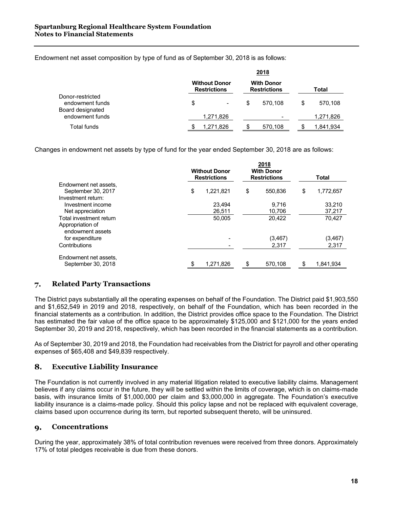Endowment net asset composition by type of fund as of September 30, 2018 is as follows:

|                                                         | 2018                                        |                                          |               |  |  |  |  |  |
|---------------------------------------------------------|---------------------------------------------|------------------------------------------|---------------|--|--|--|--|--|
|                                                         | <b>Without Donor</b><br><b>Restrictions</b> | <b>With Donor</b><br><b>Restrictions</b> | Total         |  |  |  |  |  |
| Donor-restricted<br>endowment funds<br>Board designated | \$<br>$\overline{\phantom{a}}$              | 570.108<br>S                             | \$<br>570.108 |  |  |  |  |  |
| endowment funds                                         | 1,271,826                                   |                                          | 1,271,826     |  |  |  |  |  |
| Total funds                                             | 1,271,826                                   | 570,108                                  | 1,841,934     |  |  |  |  |  |

Changes in endowment net assets by type of fund for the year ended September 30, 2018 are as follows:

|                         |    | <b>Without Donor</b><br><b>Restrictions</b> | 2018<br><b>With Donor</b><br><b>Restrictions</b> | <b>Total</b>    |  |  |
|-------------------------|----|---------------------------------------------|--------------------------------------------------|-----------------|--|--|
| Endowment net assets,   |    |                                             |                                                  |                 |  |  |
| September 30, 2017      | \$ | 1.221.821                                   | \$<br>550.836                                    | \$<br>1,772,657 |  |  |
| Investment return:      |    |                                             |                                                  |                 |  |  |
| Investment income       |    | 23.494                                      | 9,716                                            | 33,210          |  |  |
| Net appreciation        |    | 26,511                                      | 10,706                                           | 37,217          |  |  |
| Total investment return |    | 50,005                                      | 20,422                                           | 70.427          |  |  |
| Appropriation of        |    |                                             |                                                  |                 |  |  |
| endowment assets        |    |                                             |                                                  |                 |  |  |
| for expenditure         |    |                                             | (3, 467)                                         | (3,467)         |  |  |
| Contributions           |    |                                             | 2,317                                            | 2,317           |  |  |
| Endowment net assets,   |    |                                             |                                                  |                 |  |  |
| September 30, 2018      | \$ | 1,271,826                                   | \$<br>570,108                                    | 1.841.934       |  |  |

#### **Related Party Transactions** 7.

The District pays substantially all the operating expenses on behalf of the Foundation. The District paid \$1,903,550 and \$1,652,549 in 2019 and 2018, respectively, on behalf of the Foundation, which has been recorded in the financial statements as a contribution. In addition, the District provides office space to the Foundation. The District has estimated the fair value of the office space to be approximately \$125,000 and \$121,000 for the years ended September 30, 2019 and 2018, respectively, which has been recorded in the financial statements as a contribution.

As of September 30, 2019 and 2018, the Foundation had receivables from the District for payroll and other operating expenses of \$65,408 and \$49,839 respectively.

#### 8. **Executive Liability Insurance**

The Foundation is not currently involved in any material litigation related to executive liability claims. Management believes if any claims occur in the future, they will be settled within the limits of coverage, which is on claims-made basis, with insurance limits of \$1,000,000 per claim and \$3,000,000 in aggregate. The Foundation's executive liability insurance is a claims-made policy. Should this policy lapse and not be replaced with equivalent coverage, claims based upon occurrence during its term, but reported subsequent thereto, will be uninsured.

#### **Concentrations** 9.

During the year, approximately 38% of total contribution revenues were received from three donors. Approximately 17% of total pledges receivable is due from these donors.